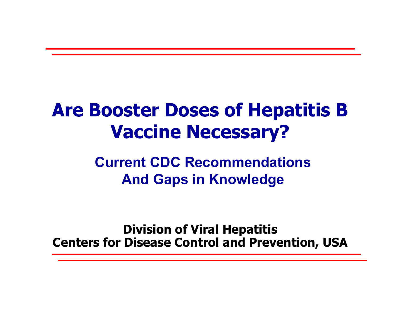# **Are Booster Doses of Hepatitis B Vaccine Necessary?**

**Current CDC RecommendationsAnd Gaps in Knowledge**

**Division of Viral Hepatitis Centers for Disease Control and Prevention, USA**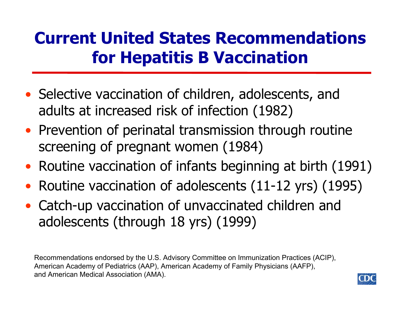# **Current United States Recommendations for Hepatitis B Vaccination**

- Selective vaccination of children, adolescents, and adults at increased risk of infection (1982)
- Prevention of perinatal transmission through routine screening of pregnant women (1984)
- Routine vaccination of infants beginning at birth (1991)
- $\bullet$ Routine vaccination of adolescents (11-12 yrs) (1995)
- Catch-up vaccination of unvaccinated children and adolescents (through 18 yrs) (1999)

Recommendations endorsed by the U.S. Advisory Committee on Immunization Practices (ACIP), American Academy of Pediatrics (AAP), American Academy of F amily Physicians (AAFP), and American Medical Associati on (AMA).

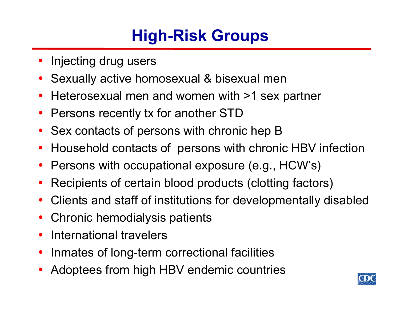# **High-Risk Groups**

- •Injecting drug users
- •Sexually active homosexual & bisexual men
- •Heterosexual men and women with >1 sex partner
- •Persons recently tx for another STD
- •Sex contacts of persons with chronic hep B
- •Household contacts of persons with chronic HBV infection
- •Persons with occupational exposure (e.g., HCW's)
- •Recipients of certain blood products (clotting factors)
- •Clients and staff of institutions for developmentally disabled
- •Chronic hemodialysis patients
- •International travelers
- •Inmates of long-term correctional facilities
- •Adoptees from high HBV endemic countries

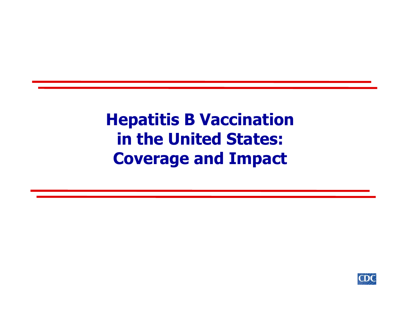## **Hepatitis B Vaccination in the United States: Coverage and Impact**

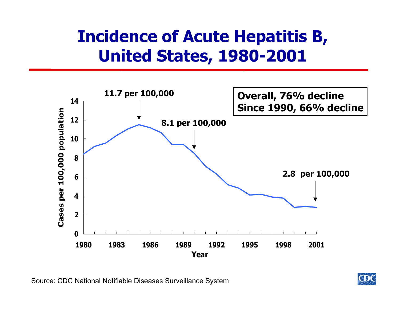# **Incidence of Acute Hepatitis B, United States, 1980-2001**



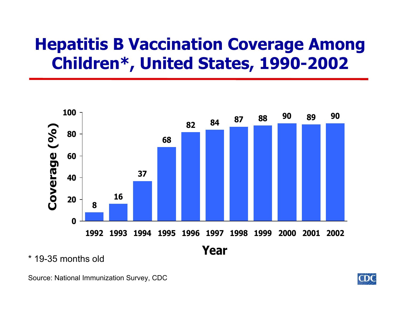# **Hepatitis B Vaccination Coverage Among Children\*, United States, 1990-2002**



\* 19-35 months old

Source: National Immunization Survey, CDC

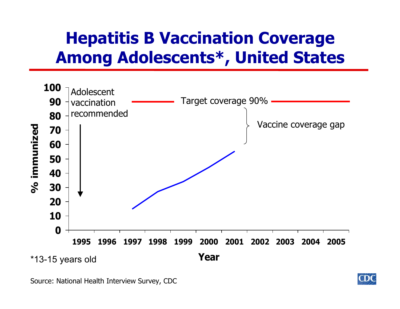# **Hepatitis B Vaccination Coverage Among Adolescents\*, United States**



Source: N ational H ealth Interview Survey, CDC

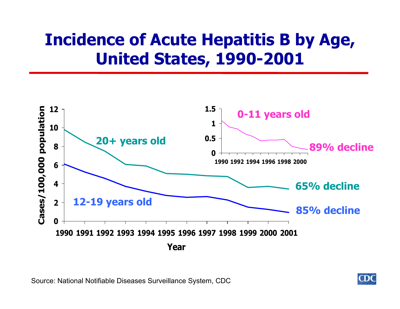# **Incidence of Acute Hepatitis B by Age, United States, 1990-2001**



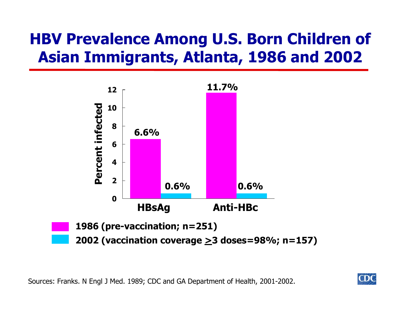### **HBV Prevalence Among U.S. Born Children of Asian Immigrants, Atlanta, 1986 and 2002**



Sources: Franks. N Engl J Med. 1989; CDC and GA Department of Health, 2001-2002.

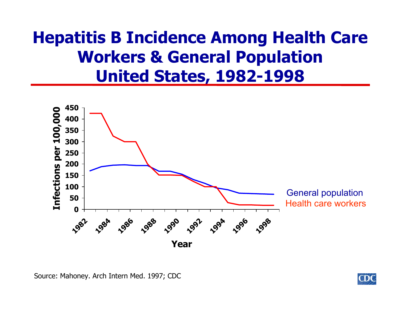## **Hepatitis B Incidence Among Health Care Workers & General Population United States, 1982-1998**



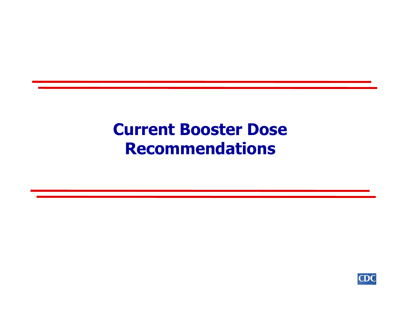#### **Current Booster Dose Recommendations**

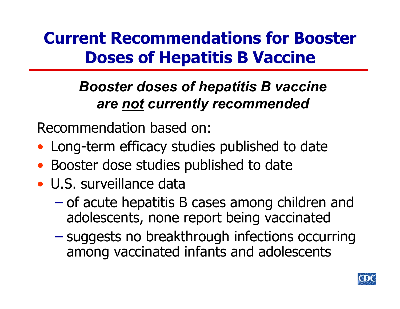# **Current Recommendations for Booster Doses of Hepatitis B Vaccine**

#### *Booster doses of hepatitis B vaccine are not currently recommended*

Recommendation based on:

- Long-term efficacy studies published to date
- •Booster dose studies published to date
- U.S. surveillance data
	- $\mathcal{L}_{\mathcal{A}}$  of acute hepatitis B cases among children and adolescents, none report being vaccinated
	- – suggests no breakthrough infections occurring among vaccinated infants and adolescents

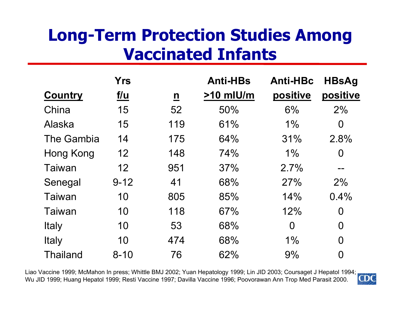# **Long-Term Protection Studies Among Vaccinated Infants**

|                   | <b>Yrs</b>      |                          | <b>Anti-HBs</b> | <b>Anti-HBc</b> | <b>HBsAg</b>   |
|-------------------|-----------------|--------------------------|-----------------|-----------------|----------------|
| <b>Country</b>    | <u>f/u</u>      | $\underline{\mathbf{n}}$ | $>10$ mlU/m     | positive        | positive       |
| China             | 15              | 52                       | 50%             | 6%              | 2%             |
| Alaska            | 15              | 119                      | 61%             | $1\%$           | $\overline{0}$ |
| <b>The Gambia</b> | 14              | 175                      | 64%             | 31%             | 2.8%           |
| Hong Kong         | 12 <sub>2</sub> | 148                      | 74%             | $1\%$           | $\overline{0}$ |
| Taiwan            | 12              | 951                      | 37%             | 2.7%            | $\sim$ $\sim$  |
| Senegal           | $9 - 12$        | 41                       | 68%             | 27%             | 2%             |
| Taiwan            | 10              | 805                      | 85%             | 14%             | 0.4%           |
| Taiwan            | 10              | 118                      | 67%             | 12%             | $\overline{0}$ |
| Italy             | 10              | 53                       | 68%             | $\overline{0}$  | $\overline{0}$ |
| <b>Italy</b>      | 10              | 474                      | 68%             | 1%              | $\overline{0}$ |
| <b>Thailand</b>   | $8 - 10$        | 76                       | 62%             | 9%              | $\overline{0}$ |

Liao Vaccine 1999; McMahon In press; Whittle BMJ 2002; Yuan H epatol ogy 1999; Lin JID 2003; Coursaget J Hepatol 1994; Wu JID 1999; Huang Hepatol 1999; Resti Vaccine 1997; Davilla Vaccine 1996; Poovorawan Ann Trop Med Parasit 2000.

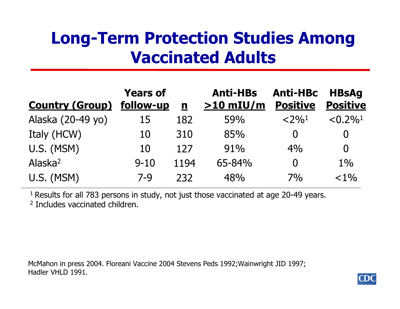# **Long-Term Protection Studies Among Vaccinated Adults**

| <b>Country (Group)</b> | <b>Years of</b><br>follow-up | n    | <b>Anti-HBs</b><br>$>10$ mIU/m | <b>Anti-HBc</b><br><b>Positive</b> | <b>HBsAg</b><br><b>Positive</b> |
|------------------------|------------------------------|------|--------------------------------|------------------------------------|---------------------------------|
| Alaska (20-49 yo)      | 15                           | 182  | 59%                            | $<$ 2% <sup>1</sup>                | $\leq 0.2\%$ <sup>1</sup>       |
| Italy (HCW)            | 10                           | 310  | 85%                            |                                    | $\bf{0}$                        |
| U.S. (MSM)             | 10                           | 127  | 91%                            | 4%                                 | $\overline{0}$                  |
| Alaska <sup>2</sup>    | $9 - 10$                     | 1194 | 65-84%                         |                                    | $1\%$                           |
| U.S. (MSM)             | $7 - 9$                      | 232  | 48%                            | 7%                                 | $< 1\%$                         |

<sup>1</sup> Results for all 783 persons in study, not just those vaccinated at age 20-49 years. <sup>2</sup> Includes vaccinated children.

McMahon in press 2004. Floreani Vaccine 2004 Stevens Peds 1992; Wainwright JID 1997; Hadler VHLD 1991.

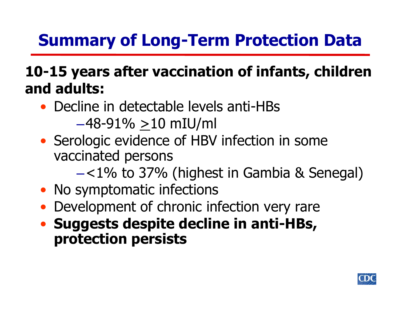# **Summary of Long-Term Protection Data**

#### **10-15 years after vaccination of infants, children and adults:**

- Decline in detectable levels anti-HBs  $-48-91\% > 10$  mIU/ml
- Serologic evidence of HBV infection in some vaccinated persons
	- –<1% to 37% (highest in Gambia & Senegal)
- No symptomatic infections
- Development of chronic infection very rare
- **Suggests despite decline in anti-HBs, protection persists**

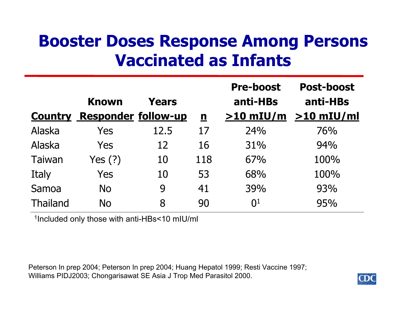### **Booster Doses Response Among Persons Vaccinated as Infants**

|                 |                            |       |                          | <b>Pre-boost</b> | <b>Post-boost</b> |
|-----------------|----------------------------|-------|--------------------------|------------------|-------------------|
|                 | <b>Known</b>               | Years |                          | anti-HBs         | anti-HBs          |
| <b>Country</b>  | <b>Responder follow-up</b> |       | $\underline{\mathbf{n}}$ | $>10$ mIU/m      | $>10$ mIU/ml      |
| Alaska          | Yes                        | 12.5  | 17                       | 24%              | 76%               |
| Alaska          | Yes                        | 12    | 16                       | 31%              | 94%               |
| Taiwan          | Yes $(?)$                  | 10    | 118                      | 67%              | 100%              |
| Italy           | Yes                        | 10    | 53                       | 68%              | 100%              |
| Samoa           | <b>No</b>                  | 9     | 41                       | 39%              | 93%               |
| <b>Thailand</b> | <b>No</b>                  | 8     | 90                       | 0 <sup>1</sup>   | 95%               |

1Included only those with anti-HBs<10 mIU/ml

Peterson In prep 2004; Peterson In prep 2004; Huang Hepatol 1999; Resti Vaccine 1997; Williams PIDJ2003; Chongarisawat SE Asia J Trop Med Parasitol 2000.

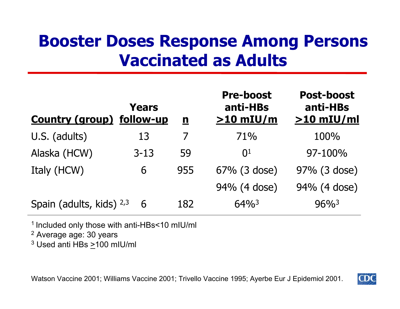### **Booster Doses Response Among Persons Vaccinated as Adults**

| <b>Country (group) follow-up</b> | Years    | $\mathbf n$ | <b>Pre-boost</b><br>anti-HBs<br>$>10$ mIU/m | <b>Post-boost</b><br>anti-HBs<br>$>10$ mIU/ml |
|----------------------------------|----------|-------------|---------------------------------------------|-----------------------------------------------|
| U.S. (adults)                    | 13       |             | 71%                                         | 100%                                          |
| Alaska (HCW)                     | $3 - 13$ | 59          | $\Omega$ <sup>1</sup>                       | $97 - 100\%$                                  |
| Italy (HCW)                      | 6        | 955         | 67% (3 dose)                                | 97% (3 dose)                                  |
|                                  |          |             | 94% (4 dose)                                | 94% (4 dose)                                  |
| Spain (adults, kids) 2,3         | 6        | 182         | $64\%$ <sup>3</sup>                         | $96\%$ <sup>3</sup>                           |

1 Included only those with anti-HBs<10 mIU/ml

<sup>2</sup> Average age: 30 years

 $^3$  Used anti HBs >100 mIU/ml

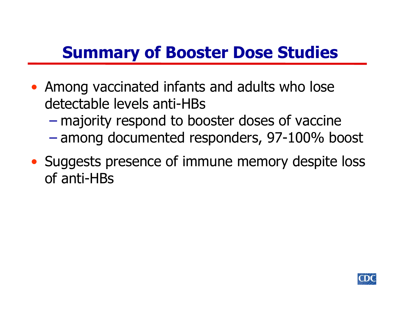## **Summary of Booster Dose Studies**

- Among vaccinated infants and adults who lose detectable levels anti-HBs
	- $\mathcal{L}_{\mathcal{A}}$ majority respond to booster doses of vaccine
	- amo ng documented respo nders, 97-100% boost
- Suggests presence of immune memory despite loss of anti-HBs

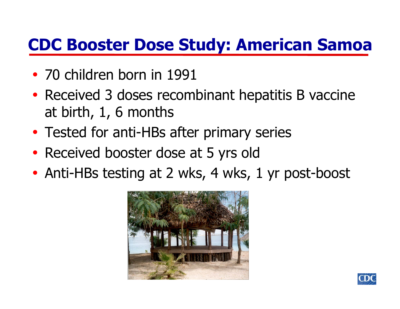## **CDC Booster Dose Study: American Samoa**

- 70 children born in 1991
- $\bullet$ • Received 3 doses recombinant hepatitis B vaccine at birth, 1, 6 months
- $\bullet$ Tested for anti-HBs after primary series
- $\bullet$ • Received booster dose at 5 yrs old
- $\bullet$ • Anti-HBs testing at 2 wks, 4 wks, 1 yr post-boost



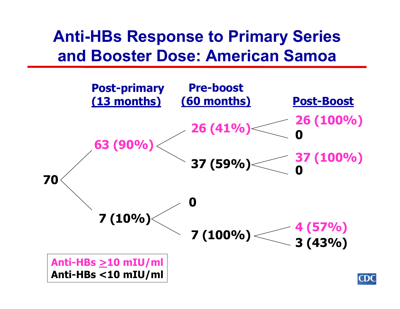#### **Anti-HBs Response to Primary Series and Booster Dose: American Samoa**

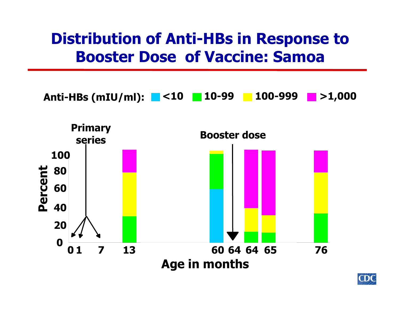#### **Distribution of Anti-HBs in Response to Booster Dose of Vaccine: Samoa**





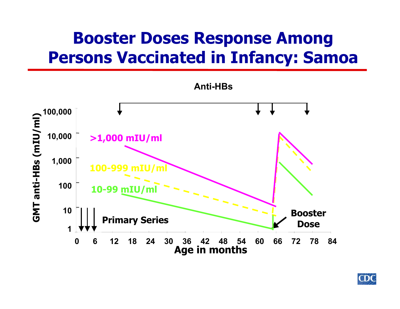# **Booster Doses Response Among Persons Vaccinated in Infancy: Samoa**



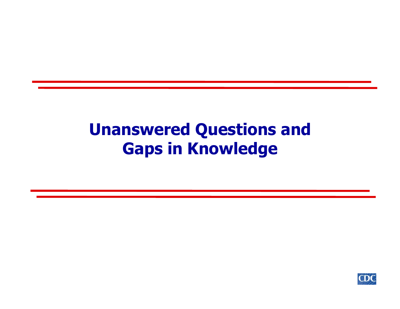## **Unanswered Questions and Gaps in Knowledge**

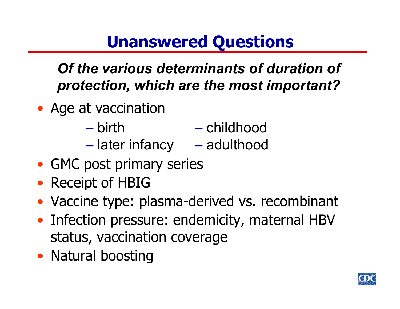*Of the various determinants of duration of protection, which are the most important?*

- Age at vaccination
	- birth **Hart Committee** – later infancy – childhood – adulthood
- GMC post primary series
- Receipt of HBIG
- Vaccine type: plasma-derived vs. recombinant
- Infection pressure: endemicity, maternal HBV status, vaccination coverage
- Natural boosting

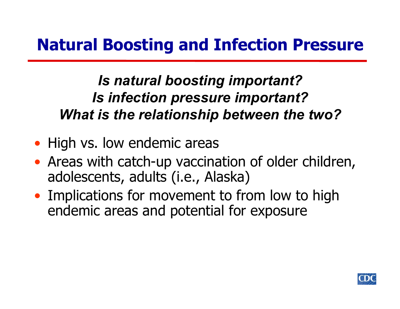#### *Is natural boosting important? Is infection pressure important? What is the relationship between the two?*

- High vs. low endemic areas
- Areas with catch-up vaccination of older children, adolescents, adults (i.e., Alaska)
- Implications for movement to from low to high endemic areas and potential for exposure

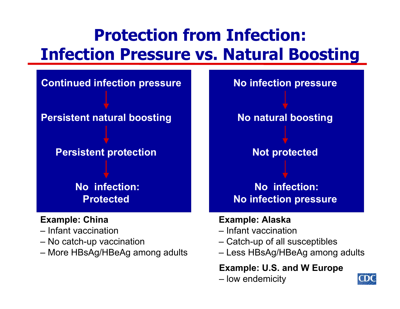# **Protection from Infection: Infection Pressure vs. Natural Boosting**

**Continued infection pressure**

**Persistent natural boosting**

**Persistent protection**

**No infection: Protected**

#### **Example: China**

- Infant vaccination
- No catch-up vaccination
- More HBsAg/HBeAg among adults



#### **Example: Alaska**

- Infant vaccination
- Catch-up of all susceptibles
- Less HBsAg/HBeAg among adults

#### **Example: U.S. and W Europe**

– low endemicity

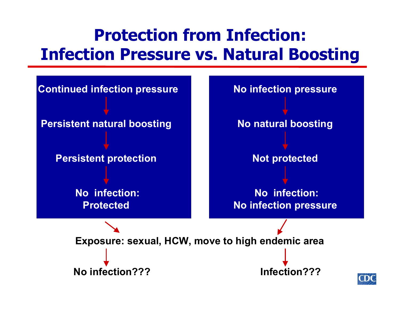# **Protection from Infection: Infection Pressure vs. Natural Boosting**